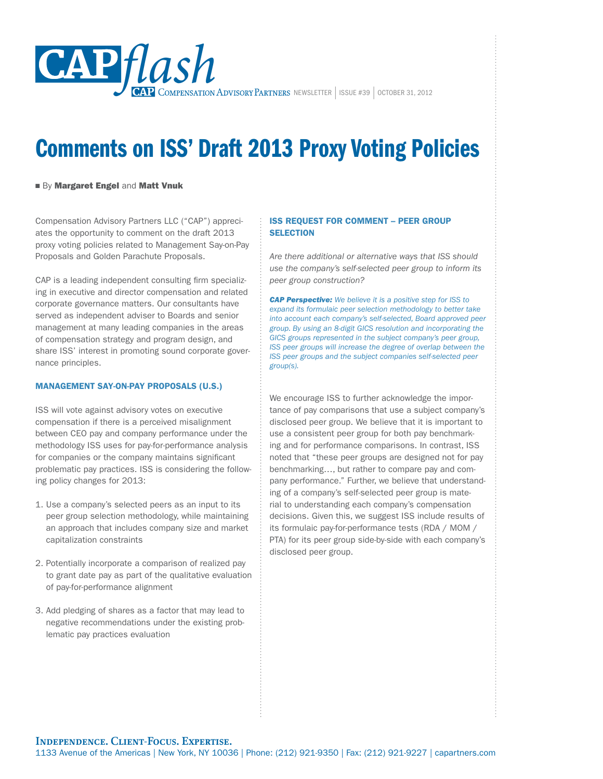

# Comments on ISS' Draft 2013 Proxy Voting Policies

# ■ By Margaret Engel and Matt Vnuk

Compensation Advisory Partners LLC ("CAP") appreciates the opportunity to comment on the draft 2013 proxy voting policies related to Management Say-on-Pay Proposals and Golden Parachute Proposals.

CAP is a leading independent consulting firm specializing in executive and director compensation and related corporate governance matters. Our consultants have served as independent adviser to Boards and senior management at many leading companies in the areas of compensation strategy and program design, and share ISS' interest in promoting sound corporate governance principles.

# Management Say-on-Pay Proposals (U.S.)

ISS will vote against advisory votes on executive compensation if there is a perceived misalignment between CEO pay and company performance under the methodology ISS uses for pay-for-performance analysis for companies or the company maintains significant problematic pay practices. ISS is considering the following policy changes for 2013:

- 1. Use a company's selected peers as an input to its peer group selection methodology, while maintaining an approach that includes company size and market capitalization constraints
- 2. Potentially incorporate a comparison of realized pay to grant date pay as part of the qualitative evaluation of pay-for-performance alignment
- 3. Add pledging of shares as a factor that may lead to negative recommendations under the existing problematic pay practices evaluation

# ISS Request for Comment – Peer Group **SELECTION**

*Are there additional or alternative ways that ISS should use the company's self-selected peer group to inform its peer group construction?*

*CAP Perspective: We believe it is a positive step for ISS to expand its formulaic peer selection methodology to better take into account each company's self-selected, Board approved peer group. By using an 8-digit GICS resolution and incorporating the GICS groups represented in the subject company's peer group, ISS peer groups will increase the degree of overlap between the ISS peer groups and the subject companies self-selected peer group(s).*

We encourage ISS to further acknowledge the importance of pay comparisons that use a subject company's disclosed peer group. We believe that it is important to use a consistent peer group for both pay benchmarking and for performance comparisons. In contrast, ISS noted that "these peer groups are designed not for pay benchmarking…, but rather to compare pay and company performance." Further, we believe that understanding of a company's self-selected peer group is material to understanding each company's compensation decisions. Given this, we suggest ISS include results of its formulaic pay-for-performance tests (RDA / MOM / PTA) for its peer group side-by-side with each company's disclosed peer group.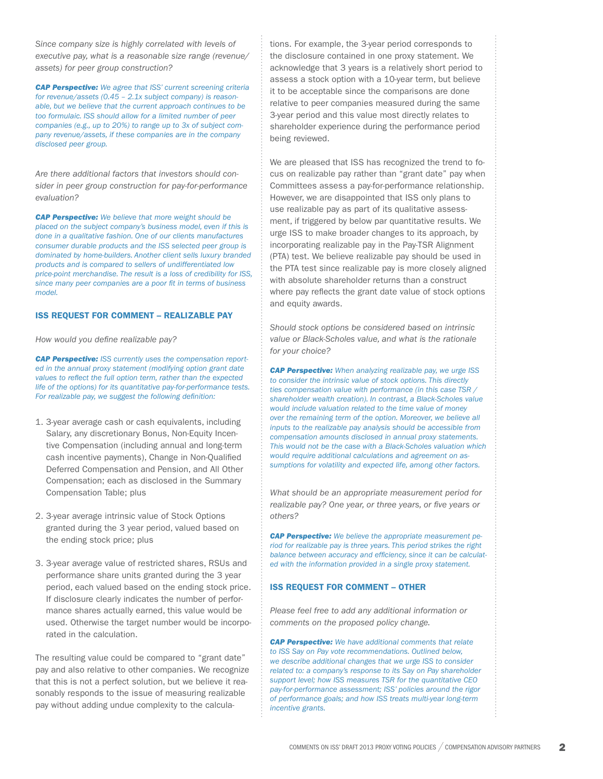*Since company size is highly correlated with levels of executive pay, what is a reasonable size range (revenue/ assets) for peer group construction?*

*CAP Perspective: We agree that ISS' current screening criteria for revenue/assets (0.45 – 2.1x subject company) is reasonable, but we believe that the current approach continues to be too formulaic. ISS should allow for a limited number of peer companies (e.g., up to 20%) to range up to 3x of subject company revenue/assets, if these companies are in the company disclosed peer group.*

*Are there additional factors that investors should consider in peer group construction for pay-for-performance evaluation?*

*CAP Perspective: We believe that more weight should be placed on the subject company's business model, even if this is done in a qualitative fashion. One of our clients manufactures consumer durable products and the ISS selected peer group is dominated by home-builders. Another client sells luxury branded products and is compared to sellers of undifferentiated low price-point merchandise. The result is a loss of credibility for ISS, since many peer companies are a poor fit in terms of business model.*

#### ISS Request for Comment – Realizable Pay

*How would you define realizable pay?*

*CAP Perspective: ISS currently uses the compensation reported in the annual proxy statement (modifying option grant date values to reflect the full option term, rather than the expected life of the options) for its quantitative pay-for-performance tests. For realizable pay, we suggest the following definition:*

- 1. 3-year average cash or cash equivalents, including Salary, any discretionary Bonus, Non-Equity Incentive Compensation (including annual and long-term cash incentive payments), Change in Non-Qualified Deferred Compensation and Pension, and All Other Compensation; each as disclosed in the Summary Compensation Table; plus
- 2. 3-year average intrinsic value of Stock Options granted during the 3 year period, valued based on the ending stock price; plus
- 3. 3-year average value of restricted shares, RSUs and performance share units granted during the 3 year period, each valued based on the ending stock price. If disclosure clearly indicates the number of performance shares actually earned, this value would be used. Otherwise the target number would be incorporated in the calculation.

The resulting value could be compared to "grant date" pay and also relative to other companies. We recognize that this is not a perfect solution, but we believe it reasonably responds to the issue of measuring realizable pay without adding undue complexity to the calculations. For example, the 3-year period corresponds to the disclosure contained in one proxy statement. We acknowledge that 3 years is a relatively short period to assess a stock option with a 10-year term, but believe it to be acceptable since the comparisons are done relative to peer companies measured during the same 3-year period and this value most directly relates to shareholder experience during the performance period being reviewed.

We are pleased that ISS has recognized the trend to focus on realizable pay rather than "grant date" pay when Committees assess a pay-for-performance relationship. However, we are disappointed that ISS only plans to use realizable pay as part of its qualitative assessment, if triggered by below par quantitative results. We urge ISS to make broader changes to its approach, by incorporating realizable pay in the Pay-TSR Alignment (PTA) test. We believe realizable pay should be used in the PTA test since realizable pay is more closely aligned with absolute shareholder returns than a construct where pay reflects the grant date value of stock options and equity awards.

*Should stock options be considered based on intrinsic value or Black-Scholes value, and what is the rationale for your choice?*

*CAP Perspective: When analyzing realizable pay, we urge ISS to consider the intrinsic value of stock options. This directly ties compensation value with performance (in this case TSR / shareholder wealth creation). In contrast, a Black-Scholes value would include valuation related to the time value of money over the remaining term of the option. Moreover, we believe all inputs to the realizable pay analysis should be accessible from compensation amounts disclosed in annual proxy statements. This would not be the case with a Black-Scholes valuation which would require additional calculations and agreement on assumptions for volatility and expected life, among other factors.*

*What should be an appropriate measurement period for realizable pay? One year, or three years, or five years or others?*

*CAP Perspective: We believe the appropriate measurement period for realizable pay is three years. This period strikes the right balance between accuracy and efficiency, since it can be calculated with the information provided in a single proxy statement.*

## ISS Request for Comment – Other

*Please feel free to add any additional information or comments on the proposed policy change.*

*CAP Perspective: We have additional comments that relate to ISS Say on Pay vote recommendations. Outlined below, we describe additional changes that we urge ISS to consider related to: a company's response to its Say on Pay shareholder support level; how ISS measures TSR for the quantitative CEO pay-for-performance assessment; ISS' policies around the rigor of performance goals; and how ISS treats multi-year long-term incentive grants.*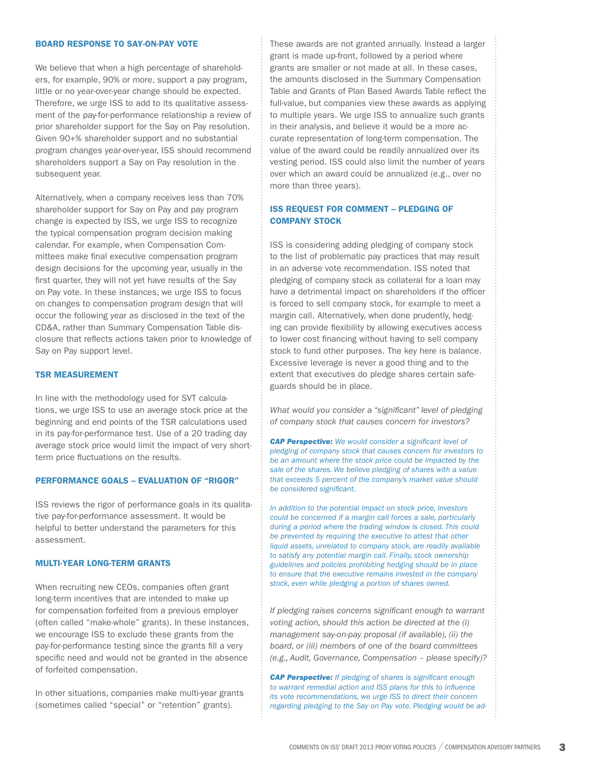# Board Response to Say-on-Pay Vote

We believe that when a high percentage of shareholders, for example, 90% or more, support a pay program, little or no year-over-year change should be expected. Therefore, we urge ISS to add to its qualitative assessment of the pay-for-performance relationship a review of prior shareholder support for the Say on Pay resolution. Given 90+% shareholder support and no substantial program changes year-over-year, ISS should recommend shareholders support a Say on Pay resolution in the subsequent year.

Alternatively, when a company receives less than 70% shareholder support for Say on Pay and pay program change is expected by ISS, we urge ISS to recognize the typical compensation program decision making calendar. For example, when Compensation Committees make final executive compensation program design decisions for the upcoming year, usually in the first quarter, they will not yet have results of the Say on Pay vote. In these instances, we urge ISS to focus on changes to compensation program design that will occur the following year as disclosed in the text of the CD&A, rather than Summary Compensation Table disclosure that reflects actions taken prior to knowledge of Say on Pay support level.

#### TSR Measurement

In line with the methodology used for SVT calculations, we urge ISS to use an average stock price at the beginning and end points of the TSR calculations used in its pay-for-performance test. Use of a 20 trading day average stock price would limit the impact of very shortterm price fluctuations on the results.

## Performance Goals – Evaluation of "Rigor"

ISS reviews the rigor of performance goals in its qualitative pay-for-performance assessment. It would be helpful to better understand the parameters for this assessment.

## Multi-year Long-term Grants

When recruiting new CEOs, companies often grant long-term incentives that are intended to make up for compensation forfeited from a previous employer (often called "make-whole" grants). In these instances, we encourage ISS to exclude these grants from the pay-for-performance testing since the grants fill a very specific need and would not be granted in the absence of forfeited compensation.

In other situations, companies make multi-year grants (sometimes called "special" or "retention" grants).

These awards are not granted annually. Instead a larger grant is made up-front, followed by a period where grants are smaller or not made at all. In these cases, the amounts disclosed in the Summary Compensation Table and Grants of Plan Based Awards Table reflect the full-value, but companies view these awards as applying to multiple years. We urge ISS to annualize such grants in their analysis, and believe it would be a more accurate representation of long-term compensation. The value of the award could be readily annualized over its vesting period. ISS could also limit the number of years over which an award could be annualized (e.g., over no more than three years).

# ISS Request for Comment – Pledging of Company Stock

ISS is considering adding pledging of company stock to the list of problematic pay practices that may result in an adverse vote recommendation. ISS noted that pledging of company stock as collateral for a loan may have a detrimental impact on shareholders if the officer is forced to sell company stock, for example to meet a margin call. Alternatively, when done prudently, hedging can provide flexibility by allowing executives access to lower cost financing without having to sell company stock to fund other purposes. The key here is balance. Excessive leverage is never a good thing and to the extent that executives do pledge shares certain safeguards should be in place.

*What would you consider a "significant" level of pledging of company stock that causes concern for investors?*

*CAP Perspective: We would consider a significant level of pledging of company stock that causes concern for investors to be an amount where the stock price could be impacted by the sale of the shares. We believe pledging of shares with a value that exceeds 5 percent of the company's market value should be considered significant.* 

*In addition to the potential impact on stock price, investors could be concerned if a margin call forces a sale, particularly during a period where the trading window is closed. This could be prevented by requiring the executive to attest that other liquid assets, unrelated to company stock, are readily available to satisfy any potential margin call. Finally, stock ownership guidelines and policies prohibiting hedging should be in place to ensure that the executive remains invested in the company stock, even while pledging a portion of shares owned.*

*If pledging raises concerns significant enough to warrant voting action, should this action be directed at the (i) management say-on-pay proposal (if available), (ii) the board, or (iii) members of one of the board committees (e.g., Audit, Governance, Compensation – please specify)?*

*CAP Perspective: If pledging of shares is significant enough to warrant remedial action and ISS plans for this to influence its vote recommendations, we urge ISS to direct their concern regarding pledging to the Say on Pay vote. Pledging would be ad-*